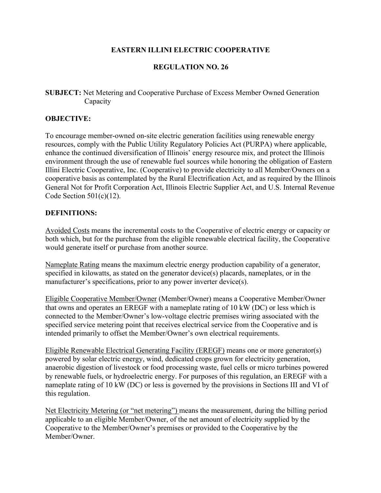# **EASTERN ILLINI ELECTRIC COOPERATIVE**

# **REGULATION NO. 26**

**SUBJECT:** Net Metering and Cooperative Purchase of Excess Member Owned Generation Capacity

#### **OBJECTIVE:**

To encourage member-owned on-site electric generation facilities using renewable energy resources, comply with the Public Utility Regulatory Policies Act (PURPA) where applicable, enhance the continued diversification of Illinois' energy resource mix, and protect the Illinois environment through the use of renewable fuel sources while honoring the obligation of Eastern Illini Electric Cooperative, Inc. (Cooperative) to provide electricity to all Member/Owners on a cooperative basis as contemplated by the Rural Electrification Act, and as required by the Illinois General Not for Profit Corporation Act, Illinois Electric Supplier Act, and U.S. Internal Revenue Code Section  $501(c)(12)$ .

## **DEFINITIONS:**

Avoided Costs means the incremental costs to the Cooperative of electric energy or capacity or both which, but for the purchase from the eligible renewable electrical facility, the Cooperative would generate itself or purchase from another source.

Nameplate Rating means the maximum electric energy production capability of a generator, specified in kilowatts, as stated on the generator device(s) placards, nameplates, or in the manufacturer's specifications, prior to any power inverter device(s).

Eligible Cooperative Member/Owner (Member/Owner) means a Cooperative Member/Owner that owns and operates an EREGF with a nameplate rating of 10 kW (DC) or less which is connected to the Member/Owner's low-voltage electric premises wiring associated with the specified service metering point that receives electrical service from the Cooperative and is intended primarily to offset the Member/Owner's own electrical requirements.

Eligible Renewable Electrical Generating Facility (EREGF) means one or more generator(s) powered by solar electric energy, wind, dedicated crops grown for electricity generation, anaerobic digestion of livestock or food processing waste, fuel cells or micro turbines powered by renewable fuels, or hydroelectric energy. For purposes of this regulation, an EREGF with a nameplate rating of 10 kW (DC) or less is governed by the provisions in Sections III and VI of this regulation.

Net Electricity Metering (or "net metering") means the measurement, during the billing period applicable to an eligible Member/Owner, of the net amount of electricity supplied by the Cooperative to the Member/Owner's premises or provided to the Cooperative by the Member/Owner.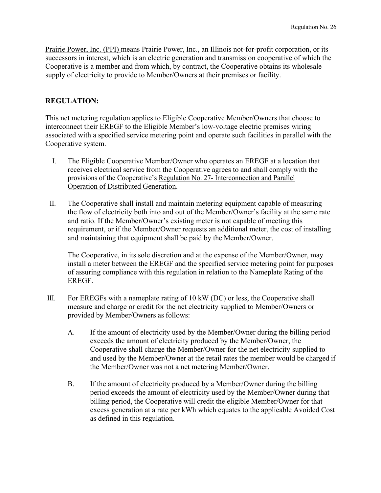Prairie Power, Inc. (PPI) means Prairie Power, Inc., an Illinois not-for-profit corporation, or its successors in interest, which is an electric generation and transmission cooperative of which the Cooperative is a member and from which, by contract, the Cooperative obtains its wholesale supply of electricity to provide to Member/Owners at their premises or facility.

## **REGULATION:**

This net metering regulation applies to Eligible Cooperative Member/Owners that choose to interconnect their EREGF to the Eligible Member's low-voltage electric premises wiring associated with a specified service metering point and operate such facilities in parallel with the Cooperative system.

- I. The Eligible Cooperative Member/Owner who operates an EREGF at a location that receives electrical service from the Cooperative agrees to and shall comply with the provisions of the Cooperative's Regulation No. 27- Interconnection and Parallel Operation of Distributed Generation.
- II. The Cooperative shall install and maintain metering equipment capable of measuring the flow of electricity both into and out of the Member/Owner's facility at the same rate and ratio. If the Member/Owner's existing meter is not capable of meeting this requirement, or if the Member/Owner requests an additional meter, the cost of installing and maintaining that equipment shall be paid by the Member/Owner.

The Cooperative, in its sole discretion and at the expense of the Member/Owner, may install a meter between the EREGF and the specified service metering point for purposes of assuring compliance with this regulation in relation to the Nameplate Rating of the EREGF.

- III. For EREGFs with a nameplate rating of 10 kW (DC) or less, the Cooperative shall measure and charge or credit for the net electricity supplied to Member/Owners or provided by Member/Owners as follows:
	- A. If the amount of electricity used by the Member/Owner during the billing period exceeds the amount of electricity produced by the Member/Owner, the Cooperative shall charge the Member/Owner for the net electricity supplied to and used by the Member/Owner at the retail rates the member would be charged if the Member/Owner was not a net metering Member/Owner.
	- B. If the amount of electricity produced by a Member/Owner during the billing period exceeds the amount of electricity used by the Member/Owner during that billing period, the Cooperative will credit the eligible Member/Owner for that excess generation at a rate per kWh which equates to the applicable Avoided Cost as defined in this regulation.